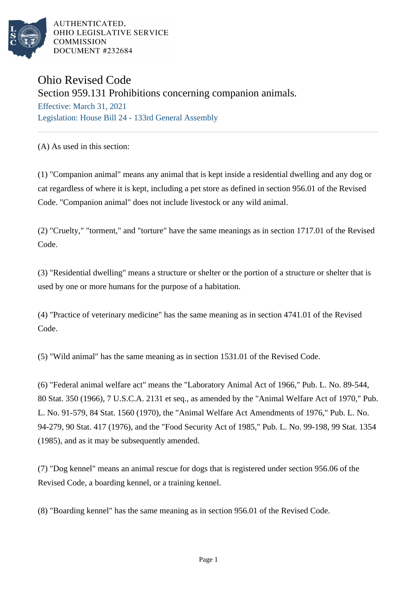

AUTHENTICATED. OHIO LEGISLATIVE SERVICE **COMMISSION** DOCUMENT #232684

## Ohio Revised Code

Section 959.131 Prohibitions concerning companion animals.

Effective: March 31, 2021 Legislation: House Bill 24 - 133rd General Assembly

(A) As used in this section:

(1) "Companion animal" means any animal that is kept inside a residential dwelling and any dog or cat regardless of where it is kept, including a pet store as defined in section 956.01 of the Revised Code. "Companion animal" does not include livestock or any wild animal.

(2) "Cruelty," "torment," and "torture" have the same meanings as in section 1717.01 of the Revised Code.

(3) "Residential dwelling" means a structure or shelter or the portion of a structure or shelter that is used by one or more humans for the purpose of a habitation.

(4) "Practice of veterinary medicine" has the same meaning as in section 4741.01 of the Revised Code.

(5) "Wild animal" has the same meaning as in section 1531.01 of the Revised Code.

(6) "Federal animal welfare act" means the "Laboratory Animal Act of 1966," Pub. L. No. 89-544, 80 Stat. 350 (1966), 7 U.S.C.A. 2131 et seq., as amended by the "Animal Welfare Act of 1970," Pub. L. No. 91-579, 84 Stat. 1560 (1970), the "Animal Welfare Act Amendments of 1976," Pub. L. No. 94-279, 90 Stat. 417 (1976), and the "Food Security Act of 1985," Pub. L. No. 99-198, 99 Stat. 1354 (1985), and as it may be subsequently amended.

(7) "Dog kennel" means an animal rescue for dogs that is registered under section 956.06 of the Revised Code, a boarding kennel, or a training kennel.

(8) "Boarding kennel" has the same meaning as in section 956.01 of the Revised Code.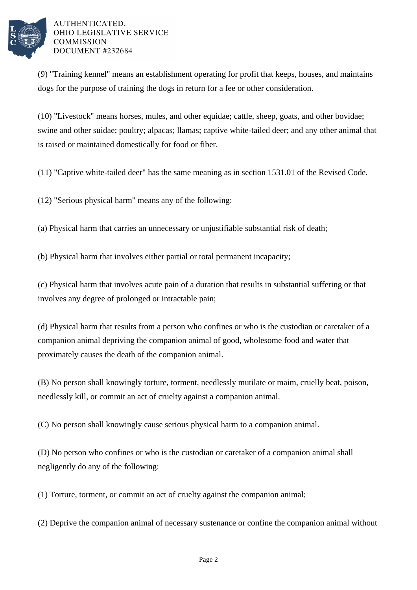

## AUTHENTICATED. OHIO LEGISLATIVE SERVICE **COMMISSION** DOCUMENT #232684

(9) "Training kennel" means an establishment operating for profit that keeps, houses, and maintains dogs for the purpose of training the dogs in return for a fee or other consideration.

(10) "Livestock" means horses, mules, and other equidae; cattle, sheep, goats, and other bovidae; swine and other suidae; poultry; alpacas; llamas; captive white-tailed deer; and any other animal that is raised or maintained domestically for food or fiber.

(11) "Captive white-tailed deer" has the same meaning as in section 1531.01 of the Revised Code.

(12) "Serious physical harm" means any of the following:

(a) Physical harm that carries an unnecessary or unjustifiable substantial risk of death;

(b) Physical harm that involves either partial or total permanent incapacity;

(c) Physical harm that involves acute pain of a duration that results in substantial suffering or that involves any degree of prolonged or intractable pain;

(d) Physical harm that results from a person who confines or who is the custodian or caretaker of a companion animal depriving the companion animal of good, wholesome food and water that proximately causes the death of the companion animal.

(B) No person shall knowingly torture, torment, needlessly mutilate or maim, cruelly beat, poison, needlessly kill, or commit an act of cruelty against a companion animal.

(C) No person shall knowingly cause serious physical harm to a companion animal.

(D) No person who confines or who is the custodian or caretaker of a companion animal shall negligently do any of the following:

(1) Torture, torment, or commit an act of cruelty against the companion animal;

(2) Deprive the companion animal of necessary sustenance or confine the companion animal without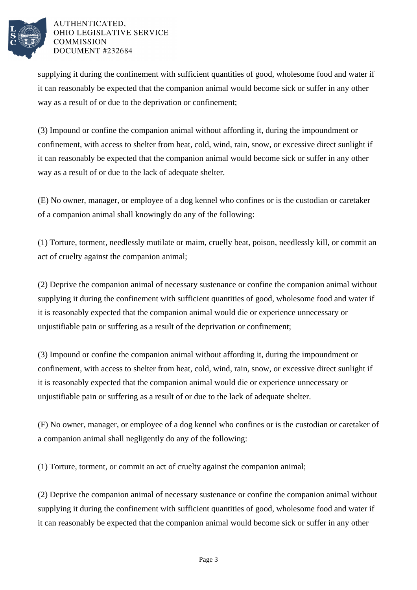

## AUTHENTICATED, OHIO LEGISLATIVE SERVICE **COMMISSION** DOCUMENT #232684

supplying it during the confinement with sufficient quantities of good, wholesome food and water if it can reasonably be expected that the companion animal would become sick or suffer in any other way as a result of or due to the deprivation or confinement;

(3) Impound or confine the companion animal without affording it, during the impoundment or confinement, with access to shelter from heat, cold, wind, rain, snow, or excessive direct sunlight if it can reasonably be expected that the companion animal would become sick or suffer in any other way as a result of or due to the lack of adequate shelter.

(E) No owner, manager, or employee of a dog kennel who confines or is the custodian or caretaker of a companion animal shall knowingly do any of the following:

(1) Torture, torment, needlessly mutilate or maim, cruelly beat, poison, needlessly kill, or commit an act of cruelty against the companion animal;

(2) Deprive the companion animal of necessary sustenance or confine the companion animal without supplying it during the confinement with sufficient quantities of good, wholesome food and water if it is reasonably expected that the companion animal would die or experience unnecessary or unjustifiable pain or suffering as a result of the deprivation or confinement;

(3) Impound or confine the companion animal without affording it, during the impoundment or confinement, with access to shelter from heat, cold, wind, rain, snow, or excessive direct sunlight if it is reasonably expected that the companion animal would die or experience unnecessary or unjustifiable pain or suffering as a result of or due to the lack of adequate shelter.

(F) No owner, manager, or employee of a dog kennel who confines or is the custodian or caretaker of a companion animal shall negligently do any of the following:

(1) Torture, torment, or commit an act of cruelty against the companion animal;

(2) Deprive the companion animal of necessary sustenance or confine the companion animal without supplying it during the confinement with sufficient quantities of good, wholesome food and water if it can reasonably be expected that the companion animal would become sick or suffer in any other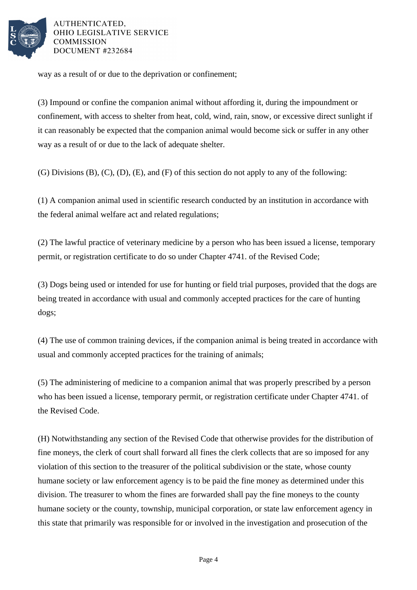

AUTHENTICATED, OHIO LEGISLATIVE SERVICE **COMMISSION** DOCUMENT #232684

way as a result of or due to the deprivation or confinement;

(3) Impound or confine the companion animal without affording it, during the impoundment or confinement, with access to shelter from heat, cold, wind, rain, snow, or excessive direct sunlight if it can reasonably be expected that the companion animal would become sick or suffer in any other way as a result of or due to the lack of adequate shelter.

(G) Divisions (B), (C), (D), (E), and (F) of this section do not apply to any of the following:

(1) A companion animal used in scientific research conducted by an institution in accordance with the federal animal welfare act and related regulations;

(2) The lawful practice of veterinary medicine by a person who has been issued a license, temporary permit, or registration certificate to do so under Chapter 4741. of the Revised Code;

(3) Dogs being used or intended for use for hunting or field trial purposes, provided that the dogs are being treated in accordance with usual and commonly accepted practices for the care of hunting dogs;

(4) The use of common training devices, if the companion animal is being treated in accordance with usual and commonly accepted practices for the training of animals;

(5) The administering of medicine to a companion animal that was properly prescribed by a person who has been issued a license, temporary permit, or registration certificate under Chapter 4741. of the Revised Code.

(H) Notwithstanding any section of the Revised Code that otherwise provides for the distribution of fine moneys, the clerk of court shall forward all fines the clerk collects that are so imposed for any violation of this section to the treasurer of the political subdivision or the state, whose county humane society or law enforcement agency is to be paid the fine money as determined under this division. The treasurer to whom the fines are forwarded shall pay the fine moneys to the county humane society or the county, township, municipal corporation, or state law enforcement agency in this state that primarily was responsible for or involved in the investigation and prosecution of the